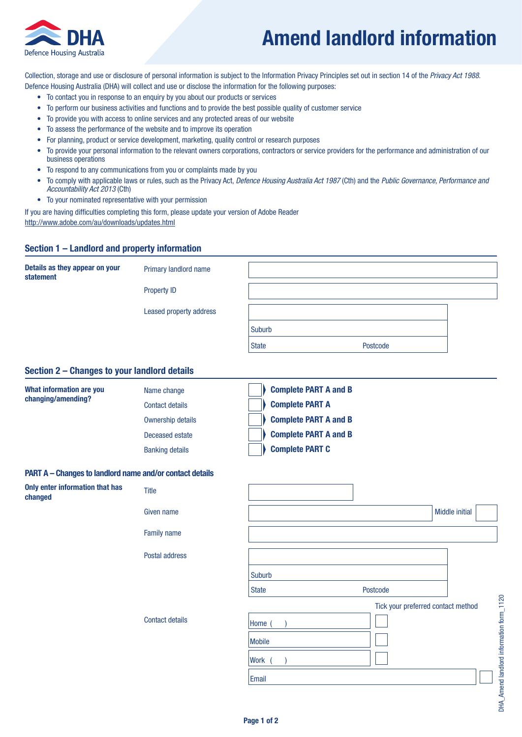

# **Amend landlord information**

Collection, storage and use or disclosure of personal information is subject to the Information Privacy Principles set out in section 14 of the *Privacy Act 1988*. Defence Housing Australia (DHA) will collect and use or disclose the information for the following purposes:

- To contact you in response to an enquiry by you about our products or services
- To perform our business activities and functions and to provide the best possible quality of customer service
- To provide you with access to online services and any protected areas of our website
- To assess the performance of the website and to improve its operation
- For planning, product or service development, marketing, quality control or research purposes
- To provide your personal information to the relevant owners corporations, contractors or service providers for the performance and administration of our business operations
- To respond to any communications from you or complaints made by you
- To comply with applicable laws or rules, such as the Privacy Act, *Defence Housing Australia Act 1987* (Cth) and the *Public Governance, Performance and Accountability Act 2013* (Cth)
- To your nominated representative with your permission

If you are having difficulties completing this form, please update your version of Adobe Reader

http://www.adobe.com/au/downloads/updates.html

## **Section 1 – Landlord and property information**

| Details as they appear on your<br>statement | Primary landlord name                                                                                           |              |          |  |
|---------------------------------------------|-----------------------------------------------------------------------------------------------------------------|--------------|----------|--|
|                                             | <b>Property ID</b>                                                                                              |              |          |  |
|                                             | <b>Leased property address</b>                                                                                  |              |          |  |
|                                             |                                                                                                                 | Suburb       |          |  |
|                                             |                                                                                                                 | <b>State</b> | Postcode |  |
|                                             | the contract of the contract of the contract of the contract of the contract of the contract of the contract of |              |          |  |

#### **Section 2 – Changes to your landlord details**

| What information are you<br>changing/amending? | Name change            | <b>Complete PART A and B</b> |
|------------------------------------------------|------------------------|------------------------------|
|                                                | <b>Contact details</b> | <b>Complete PART A</b>       |
|                                                | Ownership details      | <b>Complete PART A and B</b> |
|                                                | Deceased estate        | <b>Complete PART A and B</b> |
|                                                | <b>Banking details</b> | <b>Complete PART C</b>       |

#### **PART A – Changes to landlord name and/or contact details**

| Only enter information that has<br>changed | <b>Title</b>           |               |                                    |                       |
|--------------------------------------------|------------------------|---------------|------------------------------------|-----------------------|
|                                            | Given name             |               |                                    | <b>Middle initial</b> |
|                                            | <b>Family name</b>     |               |                                    |                       |
|                                            | Postal address         |               |                                    |                       |
|                                            |                        | Suburb        |                                    |                       |
|                                            |                        | <b>State</b>  | Postcode                           |                       |
|                                            |                        |               | Tick your preferred contact method |                       |
|                                            | <b>Contact details</b> | Home (        |                                    |                       |
|                                            |                        | <b>Mobile</b> |                                    |                       |
|                                            |                        | <b>Work</b>   |                                    |                       |
|                                            |                        | Email         |                                    |                       |